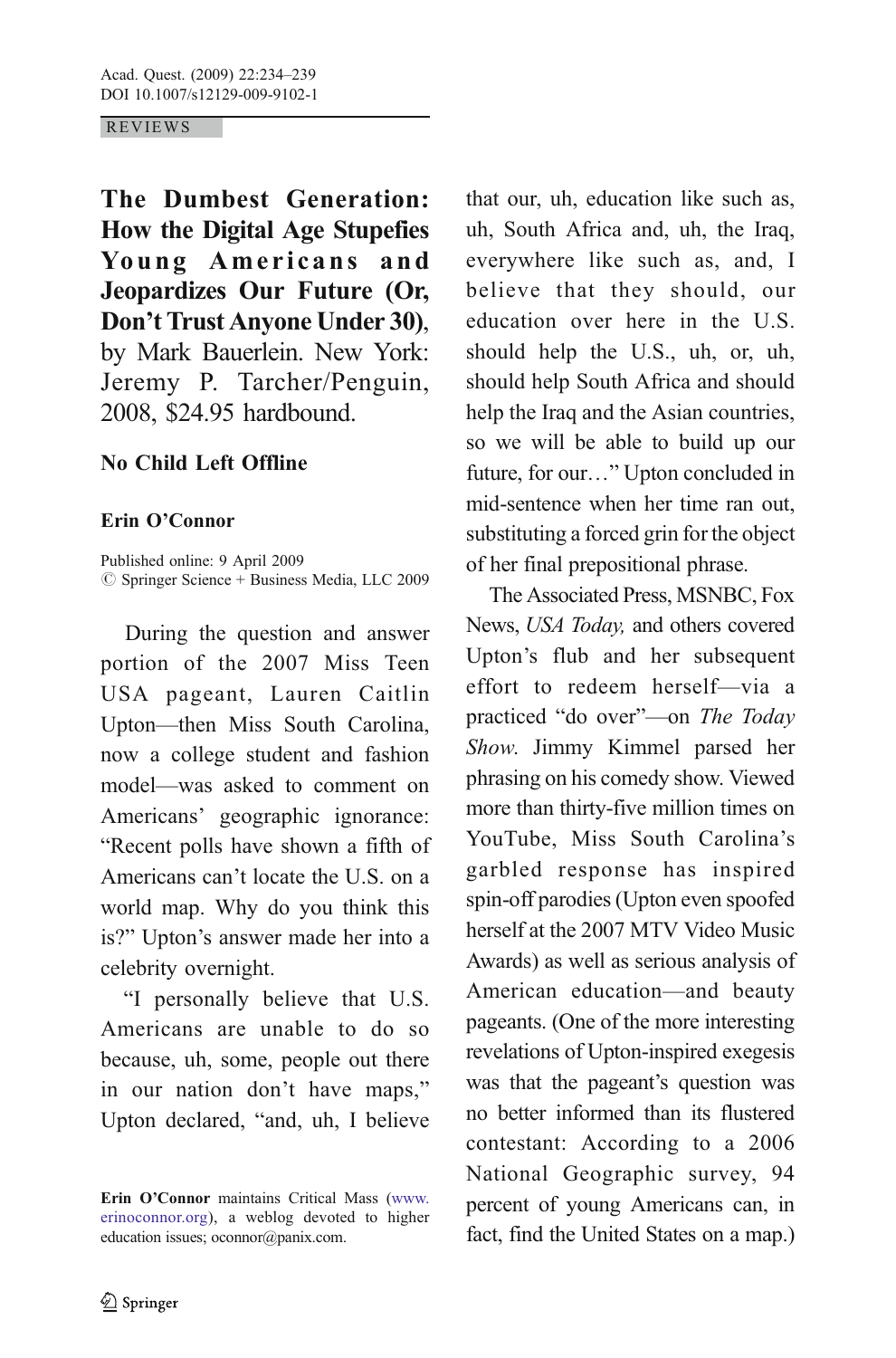## REVIEWS

The Dumbest Generation: How the Digital Age Stupefies Young Americans and Jeopardizes Our Future (Or, Don't Trust Anyone Under 30), by Mark Bauerlein. New York: Jeremy P. Tarcher/Penguin, 2008, \$24.95 hardbound.

## No Child Left Offline

## Erin O'Connor

Published online: 9 April 2009  $\circled{c}$  Springer Science + Business Media, LLC 2009

During the question and answer portion of the 2007 Miss Teen USA pageant, Lauren Caitlin Upton—then Miss South Carolina, now a college student and fashion model—was asked to comment on Americans' geographic ignorance: "Recent polls have shown a fifth of Americans can't locate the U.S. on a world map. Why do you think this is?" Upton's answer made her into a celebrity overnight.

"I personally believe that U.S. Americans are unable to do so because, uh, some, people out there in our nation don't have maps," Upton declared, "and, uh, I believe

that our, uh, education like such as, uh, South Africa and, uh, the Iraq, everywhere like such as, and, I believe that they should, our education over here in the U.S. should help the U.S., uh, or, uh, should help South Africa and should help the Iraq and the Asian countries, so we will be able to build up our future, for our…" Upton concluded in mid-sentence when her time ran out, substituting a forced grin for the object of her final prepositional phrase.

The Associated Press, MSNBC, Fox News, USA Today, and others covered Upton's flub and her subsequent effort to redeem herself—via a practiced "do over"—on The Today Show. Jimmy Kimmel parsed her phrasing on his comedy show. Viewed more than thirty-five million times on YouTube, Miss South Carolina's garbled response has inspired spin-off parodies (Upton even spoofed herself at the 2007 MTV Video Music Awards) as well as serious analysis of American education—and beauty pageants. (One of the more interesting revelations of Upton-inspired exegesis was that the pageant's question was no better informed than its flustered contestant: According to a 2006 National Geographic survey, 94 percent of young Americans can, in fact, find the United States on a map.)

Erin O'Connor maintains Critical Mass [\(www.](http://www.erinoconnor.org) [erinoconnor.org](http://www.erinoconnor.org)), a weblog devoted to higher education issues; oconnor@panix.com.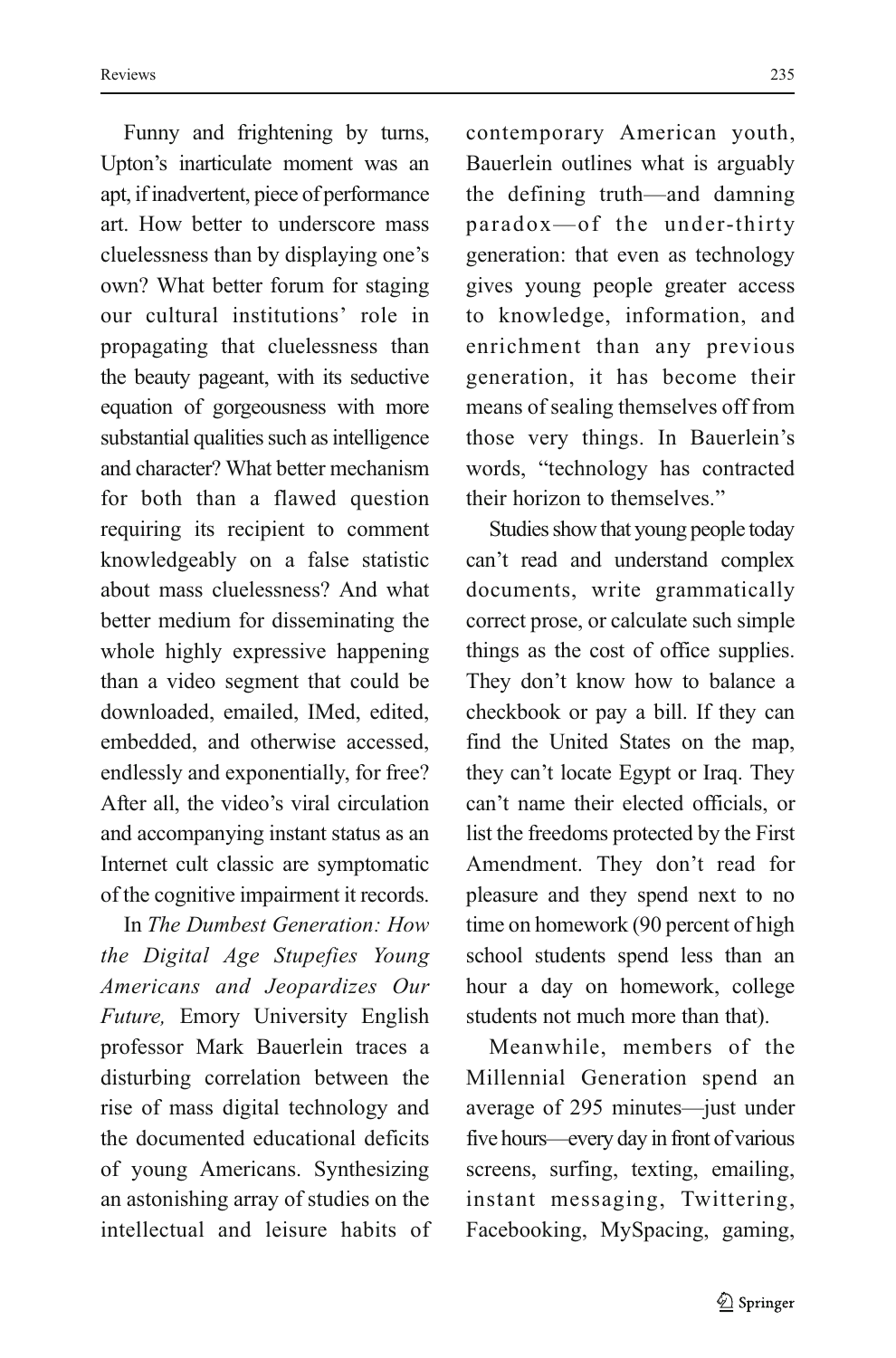Funny and frightening by turns, Upton's inarticulate moment was an apt, if inadvertent, piece of performance art. How better to underscore mass cluelessness than by displaying one's own? What better forum for staging our cultural institutions' role in propagating that cluelessness than the beauty pageant, with its seductive equation of gorgeousness with more substantial qualities such as intelligence and character? What better mechanism for both than a flawed question requiring its recipient to comment knowledgeably on a false statistic about mass cluelessness? And what better medium for disseminating the whole highly expressive happening than a video segment that could be downloaded, emailed, IMed, edited, embedded, and otherwise accessed, endlessly and exponentially, for free? After all, the video's viral circulation and accompanying instant status as an Internet cult classic are symptomatic of the cognitive impairment it records.

In The Dumbest Generation: How the Digital Age Stupefies Young Americans and Jeopardizes Our Future, Emory University English professor Mark Bauerlein traces a disturbing correlation between the rise of mass digital technology and the documented educational deficits of young Americans. Synthesizing an astonishing array of studies on the intellectual and leisure habits of contemporary American youth, Bauerlein outlines what is arguably the defining truth—and damning paradox—of the under-thirty generation: that even as technology gives young people greater access to knowledge, information, and enrichment than any previous generation, it has become their means of sealing themselves off from those very things. In Bauerlein's words, "technology has contracted their horizon to themselves."

Studies show that young people today can't read and understand complex documents, write grammatically correct prose, or calculate such simple things as the cost of office supplies. They don't know how to balance a checkbook or pay a bill. If they can find the United States on the map, they can't locate Egypt or Iraq. They can't name their elected officials, or list the freedoms protected by the First Amendment. They don't read for pleasure and they spend next to no time on homework (90 percent of high school students spend less than an hour a day on homework, college students not much more than that).

Meanwhile, members of the Millennial Generation spend an average of 295 minutes—just under five hours—every day in front of various screens, surfing, texting, emailing, instant messaging, Twittering, Facebooking, MySpacing, gaming,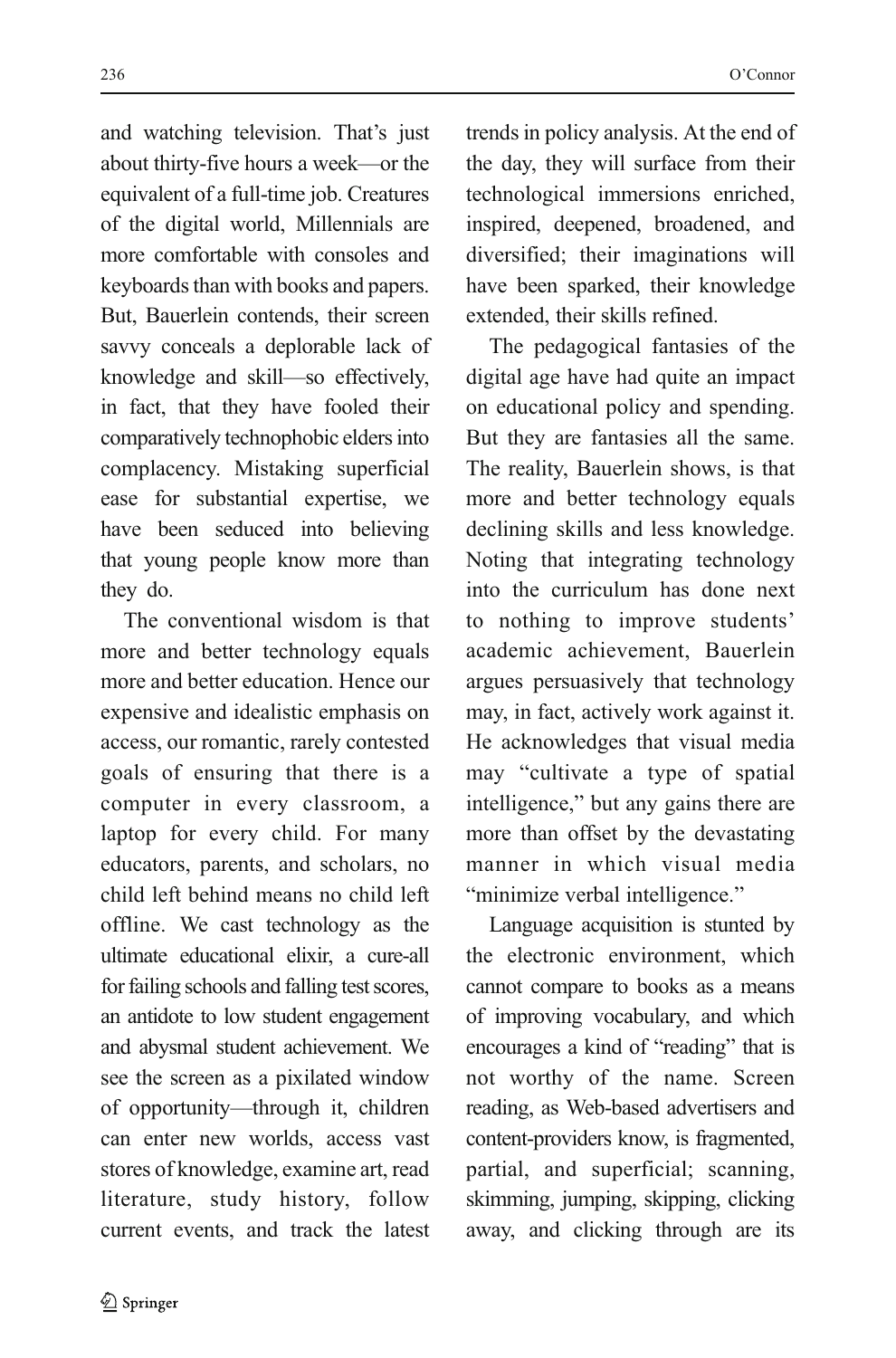and watching television. That's just about thirty-five hours a week—or the equivalent of a full-time job. Creatures of the digital world, Millennials are more comfortable with consoles and keyboards than with books and papers. But, Bauerlein contends, their screen savvy conceals a deplorable lack of knowledge and skill—so effectively, in fact, that they have fooled their comparatively technophobic elders into complacency. Mistaking superficial ease for substantial expertise, we have been seduced into believing that young people know more than they do.

The conventional wisdom is that more and better technology equals more and better education. Hence our expensive and idealistic emphasis on access, our romantic, rarely contested goals of ensuring that there is a computer in every classroom, a laptop for every child. For many educators, parents, and scholars, no child left behind means no child left offline. We cast technology as the ultimate educational elixir, a cure-all for failing schools and falling test scores, an antidote to low student engagement and abysmal student achievement. We see the screen as a pixilated window of opportunity—through it, children can enter new worlds, access vast stores of knowledge, examine art, read literature, study history, follow current events, and track the latest trends in policy analysis. At the end of the day, they will surface from their technological immersions enriched, inspired, deepened, broadened, and diversified; their imaginations will have been sparked, their knowledge extended, their skills refined.

The pedagogical fantasies of the digital age have had quite an impact on educational policy and spending. But they are fantasies all the same. The reality, Bauerlein shows, is that more and better technology equals declining skills and less knowledge. Noting that integrating technology into the curriculum has done next to nothing to improve students' academic achievement, Bauerlein argues persuasively that technology may, in fact, actively work against it. He acknowledges that visual media may "cultivate a type of spatial intelligence," but any gains there are more than offset by the devastating manner in which visual media "minimize verbal intelligence."

Language acquisition is stunted by the electronic environment, which cannot compare to books as a means of improving vocabulary, and which encourages a kind of "reading" that is not worthy of the name. Screen reading, as Web-based advertisers and content-providers know, is fragmented, partial, and superficial; scanning, skimming, jumping, skipping, clicking away, and clicking through are its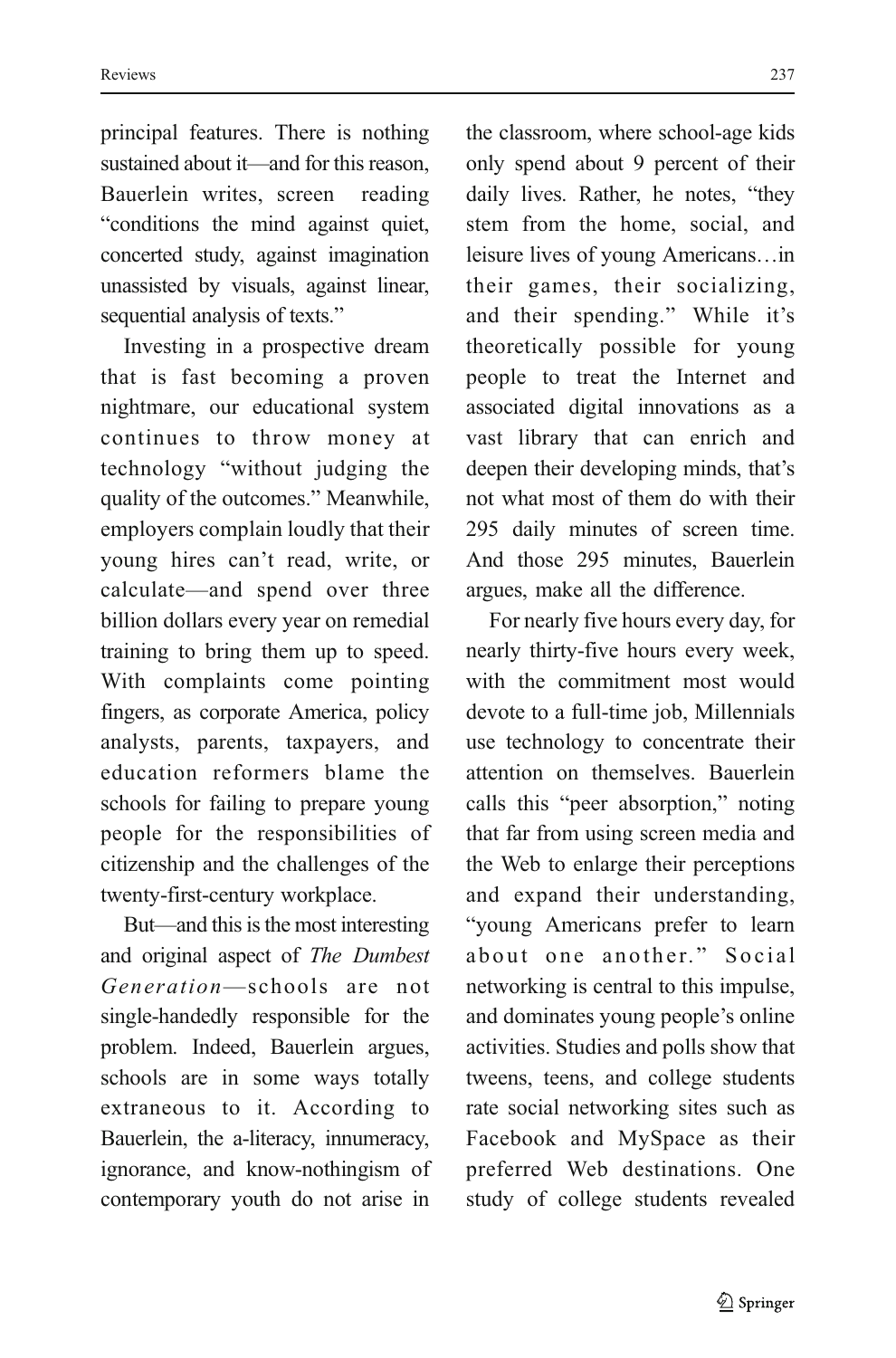principal features. There is nothing sustained about it—and for this reason, Bauerlein writes, screen reading "conditions the mind against quiet, concerted study, against imagination unassisted by visuals, against linear, sequential analysis of texts."

Investing in a prospective dream that is fast becoming a proven nightmare, our educational system continues to throw money at technology "without judging the quality of the outcomes." Meanwhile, employers complain loudly that their young hires can't read, write, or calculate—and spend over three billion dollars every year on remedial training to bring them up to speed. With complaints come pointing fingers, as corporate America, policy analysts, parents, taxpayers, and education reformers blame the schools for failing to prepare young people for the responsibilities of citizenship and the challenges of the twenty-first-century workplace.

But—and this is the most interesting and original aspect of The Dumbest Generation—schools are not single-handedly responsible for the problem. Indeed, Bauerlein argues, schools are in some ways totally extraneous to it. According to Bauerlein, the a-literacy, innumeracy, ignorance, and know-nothingism of contemporary youth do not arise in

the classroom, where school-age kids only spend about 9 percent of their daily lives. Rather, he notes, "they stem from the home, social, and leisure lives of young Americans…in their games, their socializing, and their spending." While it's theoretically possible for young people to treat the Internet and associated digital innovations as a vast library that can enrich and deepen their developing minds, that's not what most of them do with their 295 daily minutes of screen time. And those 295 minutes, Bauerlein argues, make all the difference.

For nearly five hours every day, for nearly thirty-five hours every week, with the commitment most would devote to a full-time job, Millennials use technology to concentrate their attention on themselves. Bauerlein calls this "peer absorption," noting that far from using screen media and the Web to enlarge their perceptions and expand their understanding, "young Americans prefer to learn about one another." Social networking is central to this impulse, and dominates young people's online activities. Studies and polls show that tweens, teens, and college students rate social networking sites such as Facebook and MySpace as their preferred Web destinations. One study of college students revealed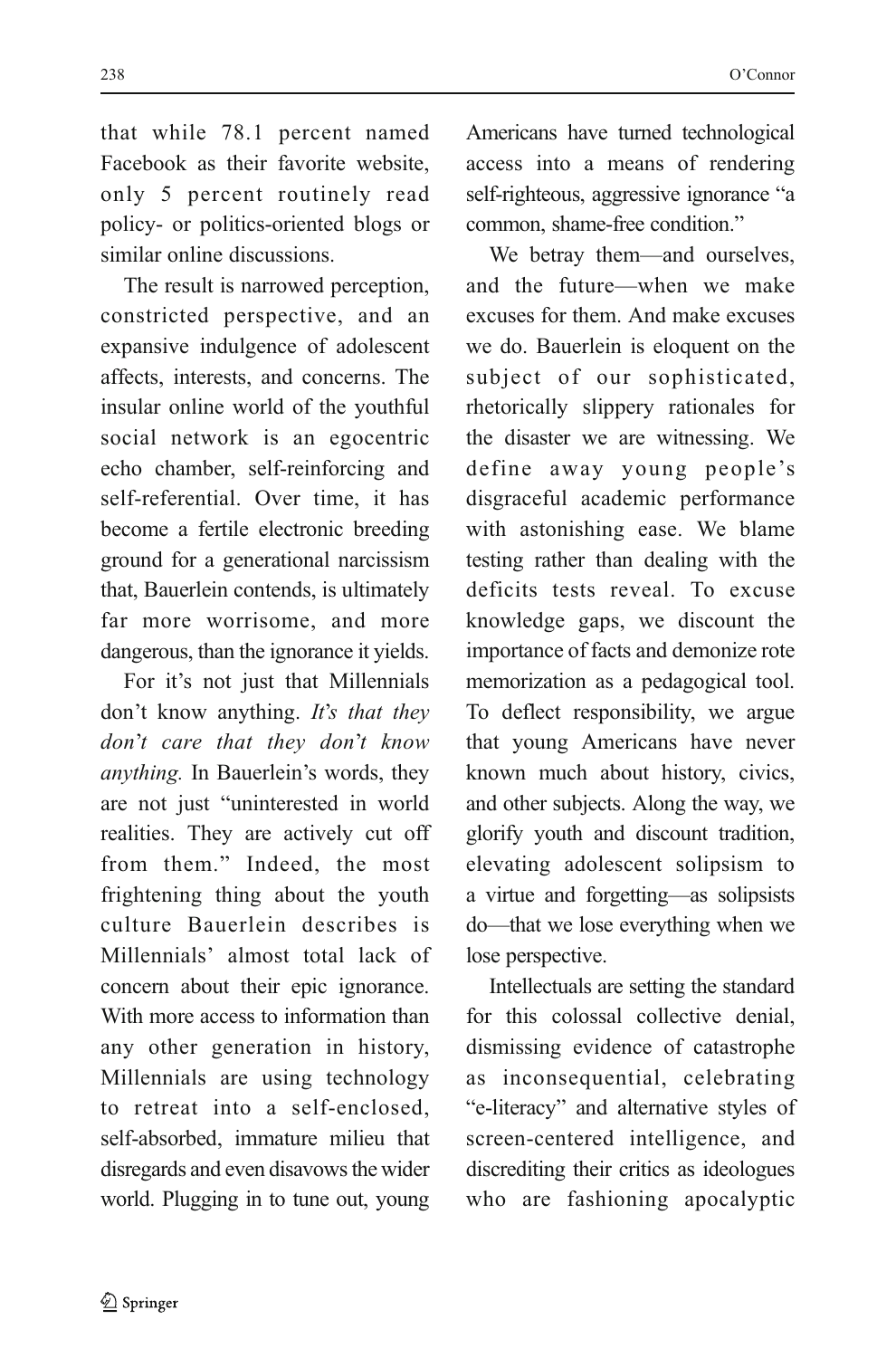that while 78.1 percent named Facebook as their favorite website, only 5 percent routinely read policy- or politics-oriented blogs or similar online discussions.

The result is narrowed perception, constricted perspective, and an expansive indulgence of adolescent affects, interests, and concerns. The insular online world of the youthful social network is an egocentric echo chamber, self-reinforcing and self-referential. Over time, it has become a fertile electronic breeding ground for a generational narcissism that, Bauerlein contends, is ultimately far more worrisome, and more dangerous, than the ignorance it yields.

For it's not just that Millennials don't know anything. It's that they don't care that they don't know anything. In Bauerlein's words, they are not just "uninterested in world realities. They are actively cut off from them." Indeed, the most frightening thing about the youth culture Bauerlein describes is Millennials' almost total lack of concern about their epic ignorance. With more access to information than any other generation in history, Millennials are using technology to retreat into a self-enclosed, self-absorbed, immature milieu that disregards and even disavows the wider world. Plugging in to tune out, young Americans have turned technological access into a means of rendering self-righteous, aggressive ignorance "a common, shame-free condition."

We betray them—and ourselves, and the future—when we make excuses for them. And make excuses we do. Bauerlein is eloquent on the subject of our sophisticated, rhetorically slippery rationales for the disaster we are witnessing. We define away young people's disgraceful academic performance with astonishing ease. We blame testing rather than dealing with the deficits tests reveal. To excuse knowledge gaps, we discount the importance of facts and demonize rote memorization as a pedagogical tool. To deflect responsibility, we argue that young Americans have never known much about history, civics, and other subjects. Along the way, we glorify youth and discount tradition, elevating adolescent solipsism to a virtue and forgetting—as solipsists do—that we lose everything when we lose perspective.

Intellectuals are setting the standard for this colossal collective denial, dismissing evidence of catastrophe as inconsequential, celebrating "e-literacy" and alternative styles of screen-centered intelligence, and discrediting their critics as ideologues who are fashioning apocalyptic